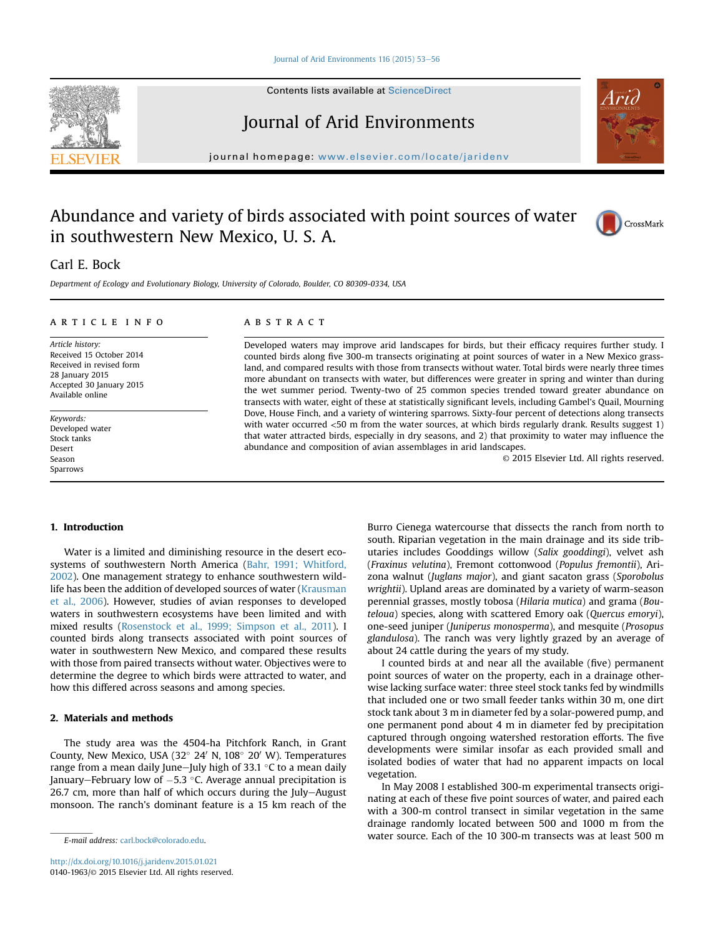#### [Journal of Arid Environments 116 \(2015\) 53](http://dx.doi.org/10.1016/j.jaridenv.2015.01.021)-[56](http://dx.doi.org/10.1016/j.jaridenv.2015.01.021)

Contents lists available at [ScienceDirect](www.sciencedirect.com/science/journal/01401963)

# Journal of Arid Environments

journal homepage: [www.elsevier.com/locate/jaridenv](http://www.elsevier.com/locate/jaridenv)

# Abundance and variety of birds associated with point sources of water in southwestern New Mexico, U. S. A.

# Carl E. Bock

Department of Ecology and Evolutionary Biology, University of Colorado, Boulder, CO 80309-0334, USA

#### article info

Article history: Received 15 October 2014 Received in revised form 28 January 2015 Accepted 30 January 2015 Available online

Keywords: Developed water Stock tanks Desert Season Sparrows

#### **ABSTRACT**

Developed waters may improve arid landscapes for birds, but their efficacy requires further study. I counted birds along five 300-m transects originating at point sources of water in a New Mexico grassland, and compared results with those from transects without water. Total birds were nearly three times more abundant on transects with water, but differences were greater in spring and winter than during the wet summer period. Twenty-two of 25 common species trended toward greater abundance on transects with water, eight of these at statistically significant levels, including Gambel's Quail, Mourning Dove, House Finch, and a variety of wintering sparrows. Sixty-four percent of detections along transects with water occurred <50 m from the water sources, at which birds regularly drank. Results suggest 1) that water attracted birds, especially in dry seasons, and 2) that proximity to water may influence the abundance and composition of avian assemblages in arid landscapes.

© 2015 Elsevier Ltd. All rights reserved.

#### 1. Introduction

Water is a limited and diminishing resource in the desert ecosystems of southwestern North America [\(Bahr, 1991; Whitford,](#page-3-0) [2002\)](#page-3-0). One management strategy to enhance southwestern wildlife has been the addition of developed sources of water [\(Krausman](#page-3-0) [et al., 2006](#page-3-0)). However, studies of avian responses to developed waters in southwestern ecosystems have been limited and with mixed results ([Rosenstock et al., 1999; Simpson et al., 2011\)](#page-3-0). I counted birds along transects associated with point sources of water in southwestern New Mexico, and compared these results with those from paired transects without water. Objectives were to determine the degree to which birds were attracted to water, and how this differed across seasons and among species.

## 2. Materials and methods

The study area was the 4504-ha Pitchfork Ranch, in Grant County, New Mexico, USA (32 $^{\circ}$  24' N, 108 $^{\circ}$  20' W). Temperatures range from a mean daily June-July high of 33.1  $\degree$ C to a mean daily January–February low of  $-5.3$  °C. Average annual precipitation is  $26.7$  cm, more than half of which occurs during the July-August monsoon. The ranch's dominant feature is a 15 km reach of the Burro Cienega watercourse that dissects the ranch from north to south. Riparian vegetation in the main drainage and its side tributaries includes Gooddings willow (Salix gooddingi), velvet ash (Fraxinus velutina), Fremont cottonwood (Populus fremontii), Arizona walnut (Juglans major), and giant sacaton grass (Sporobolus wrightii). Upland areas are dominated by a variety of warm-season perennial grasses, mostly tobosa (Hilaria mutica) and grama (Bouteloua) species, along with scattered Emory oak (Quercus emoryi), one-seed juniper (Juniperus monosperma), and mesquite (Prosopus glandulosa). The ranch was very lightly grazed by an average of about 24 cattle during the years of my study.

I counted birds at and near all the available (five) permanent point sources of water on the property, each in a drainage otherwise lacking surface water: three steel stock tanks fed by windmills that included one or two small feeder tanks within 30 m, one dirt stock tank about 3 m in diameter fed by a solar-powered pump, and one permanent pond about 4 m in diameter fed by precipitation captured through ongoing watershed restoration efforts. The five developments were similar insofar as each provided small and isolated bodies of water that had no apparent impacts on local vegetation.

In May 2008 I established 300-m experimental transects originating at each of these five point sources of water, and paired each with a 300-m control transect in similar vegetation in the same drainage randomly located between 500 and 1000 m from the  $E$ -mail address: [carl.bock@colorado.edu.](mailto:carl.bock@colorado.edu) water source. Each of the 10 300-m transects was at least 500 m





CrossMark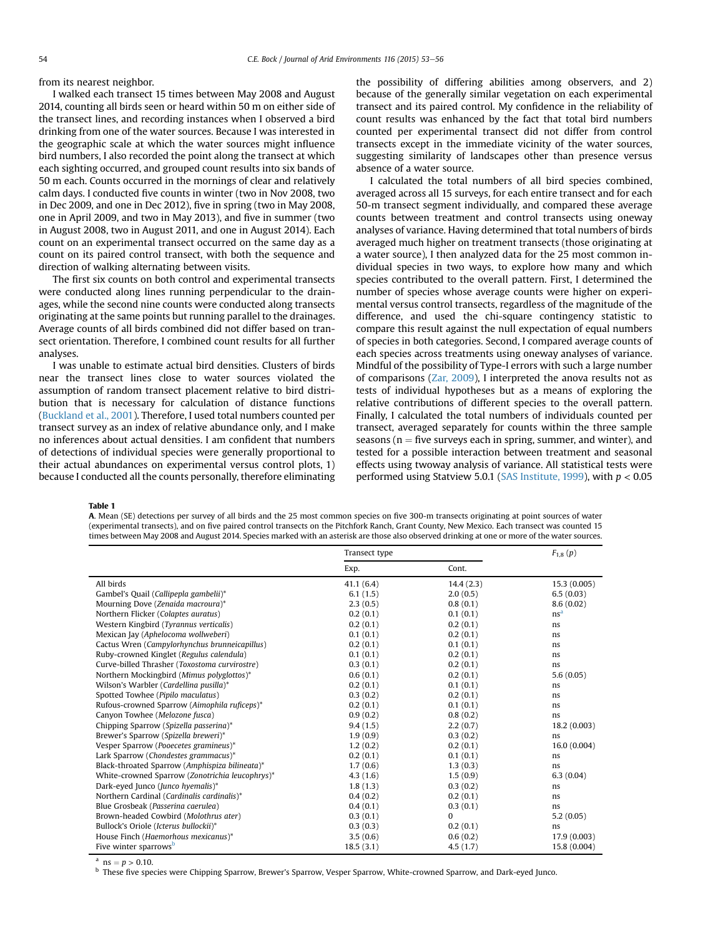<span id="page-1-0"></span>from its nearest neighbor.

I walked each transect 15 times between May 2008 and August 2014, counting all birds seen or heard within 50 m on either side of the transect lines, and recording instances when I observed a bird drinking from one of the water sources. Because I was interested in the geographic scale at which the water sources might influence bird numbers, I also recorded the point along the transect at which each sighting occurred, and grouped count results into six bands of 50 m each. Counts occurred in the mornings of clear and relatively calm days. I conducted five counts in winter (two in Nov 2008, two in Dec 2009, and one in Dec 2012), five in spring (two in May 2008, one in April 2009, and two in May 2013), and five in summer (two in August 2008, two in August 2011, and one in August 2014). Each count on an experimental transect occurred on the same day as a count on its paired control transect, with both the sequence and direction of walking alternating between visits.

The first six counts on both control and experimental transects were conducted along lines running perpendicular to the drainages, while the second nine counts were conducted along transects originating at the same points but running parallel to the drainages. Average counts of all birds combined did not differ based on transect orientation. Therefore, I combined count results for all further analyses.

I was unable to estimate actual bird densities. Clusters of birds near the transect lines close to water sources violated the assumption of random transect placement relative to bird distribution that is necessary for calculation of distance functions ([Buckland et al., 2001](#page-3-0)). Therefore, I used total numbers counted per transect survey as an index of relative abundance only, and I make no inferences about actual densities. I am confident that numbers of detections of individual species were generally proportional to their actual abundances on experimental versus control plots, 1) because I conducted all the counts personally, therefore eliminating the possibility of differing abilities among observers, and 2) because of the generally similar vegetation on each experimental transect and its paired control. My confidence in the reliability of count results was enhanced by the fact that total bird numbers counted per experimental transect did not differ from control transects except in the immediate vicinity of the water sources, suggesting similarity of landscapes other than presence versus absence of a water source.

I calculated the total numbers of all bird species combined, averaged across all 15 surveys, for each entire transect and for each 50-m transect segment individually, and compared these average counts between treatment and control transects using oneway analyses of variance. Having determined that total numbers of birds averaged much higher on treatment transects (those originating at a water source), I then analyzed data for the 25 most common individual species in two ways, to explore how many and which species contributed to the overall pattern. First, I determined the number of species whose average counts were higher on experimental versus control transects, regardless of the magnitude of the difference, and used the chi-square contingency statistic to compare this result against the null expectation of equal numbers of species in both categories. Second, I compared average counts of each species across treatments using oneway analyses of variance. Mindful of the possibility of Type-I errors with such a large number of comparisons ([Zar, 2009\)](#page-3-0), I interpreted the anova results not as tests of individual hypotheses but as a means of exploring the relative contributions of different species to the overall pattern. Finally, I calculated the total numbers of individuals counted per transect, averaged separately for counts within the three sample seasons ( $n =$  five surveys each in spring, summer, and winter), and tested for a possible interaction between treatment and seasonal effects using twoway analysis of variance. All statistical tests were performed using Statview 5.0.1 ([SAS Institute, 1999\)](#page-3-0), with  $p < 0.05$ 

Table 1

A. Mean (SE) detections per survey of all birds and the 25 most common species on five 300-m transects originating at point sources of water (experimental transects), and on five paired control transects on the Pitchfork Ranch, Grant County, New Mexico. Each transect was counted 15 times between May 2008 and August 2014. Species marked with an asterisk are those also observed drinking at one or more of the water sources.

|                                                 | Transect type |              | $F_{1,8}(p)$    |
|-------------------------------------------------|---------------|--------------|-----------------|
|                                                 | Exp.          | Cont.        |                 |
| All birds                                       | 41.1(6.4)     | 14.4(2.3)    | 15.3(0.005)     |
| Gambel's Quail (Callipepla gambelii)*           | 6.1(1.5)      | 2.0(0.5)     | 6.5(0.03)       |
| Mourning Dove (Zenaida macroura)*               | 2.3(0.5)      | 0.8(0.1)     | 8.6(0.02)       |
| Northern Flicker (Colaptes auratus)             | 0.2(0.1)      | 0.1(0.1)     | ns <sup>a</sup> |
| Western Kingbird (Tyrannus verticalis)          | 0.2(0.1)      | 0.2(0.1)     | ns              |
| Mexican Jay (Aphelocoma wollweberi)             | 0.1(0.1)      | 0.2(0.1)     | ns              |
| Cactus Wren (Campylorhynchus brunneicapillus)   | 0.2(0.1)      | 0.1(0.1)     | ns              |
| Ruby-crowned Kinglet (Regulus calendula)        | 0.1(0.1)      | 0.2(0.1)     | ns              |
| Curve-billed Thrasher (Toxostoma curvirostre)   | 0.3(0.1)      | 0.2(0.1)     | ns              |
| Northern Mockingbird (Mimus polyglottos)*       | 0.6(0.1)      | 0.2(0.1)     | 5.6(0.05)       |
| Wilson's Warbler (Cardellina pusilla)*          | 0.2(0.1)      | 0.1(0.1)     | ns              |
| Spotted Towhee (Pipilo maculatus)               | 0.3(0.2)      | 0.2(0.1)     | ns              |
| Rufous-crowned Sparrow (Aimophila ruficeps)*    | 0.2(0.1)      | 0.1(0.1)     | ns              |
| Canyon Towhee (Melozone fusca)                  | 0.9(0.2)      | 0.8(0.2)     | ns              |
| Chipping Sparrow (Spizella passerina)*          | 9.4(1.5)      | 2.2(0.7)     | 18.2(0.003)     |
| Brewer's Sparrow (Spizella breweri)*            | 1.9(0.9)      | 0.3(0.2)     | ns              |
| Vesper Sparrow (Pooecetes gramineus)*           | 1.2(0.2)      | 0.2(0.1)     | 16.0(0.004)     |
| Lark Sparrow (Chondestes grammacus)*            | 0.2(0.1)      | 0.1(0.1)     | ns              |
| Black-throated Sparrow (Amphispiza bilineata)*  | 1.7(0.6)      | 1.3(0.3)     | ns              |
| White-crowned Sparrow (Zonotrichia leucophrys)* | 4.3(1.6)      | 1.5(0.9)     | 6.3(0.04)       |
| Dark-eyed Junco (Junco hyemalis)*               | 1.8(1.3)      | 0.3(0.2)     | ns              |
| Northern Cardinal (Cardinalis cardinalis)*      | 0.4(0.2)      | 0.2(0.1)     | ns              |
| Blue Grosbeak (Passerina caerulea)              | 0.4(0.1)      | 0.3(0.1)     | ns              |
| Brown-headed Cowbird (Molothrus ater)           | 0.3(0.1)      | $\mathbf{0}$ | 5.2(0.05)       |
| Bullock's Oriole (Icterus bullockii)*           | 0.3(0.3)      | 0.2(0.1)     | ns              |
| House Finch (Haemorhous mexicanus)*             | 3.5(0.6)      | 0.6(0.2)     | 17.9 (0.003)    |
| Five winter sparrows <sup>b</sup>               | 18.5(3.1)     | 4.5(1.7)     | 15.8 (0.004)    |

<sup>a</sup> ns =  $p > 0.10$ .<br><sup>b</sup> These five species were Chipping Sparrow, Brewer's Sparrow, Vesper Sparrow, White-crowned Sparrow, and Dark-eyed Junco.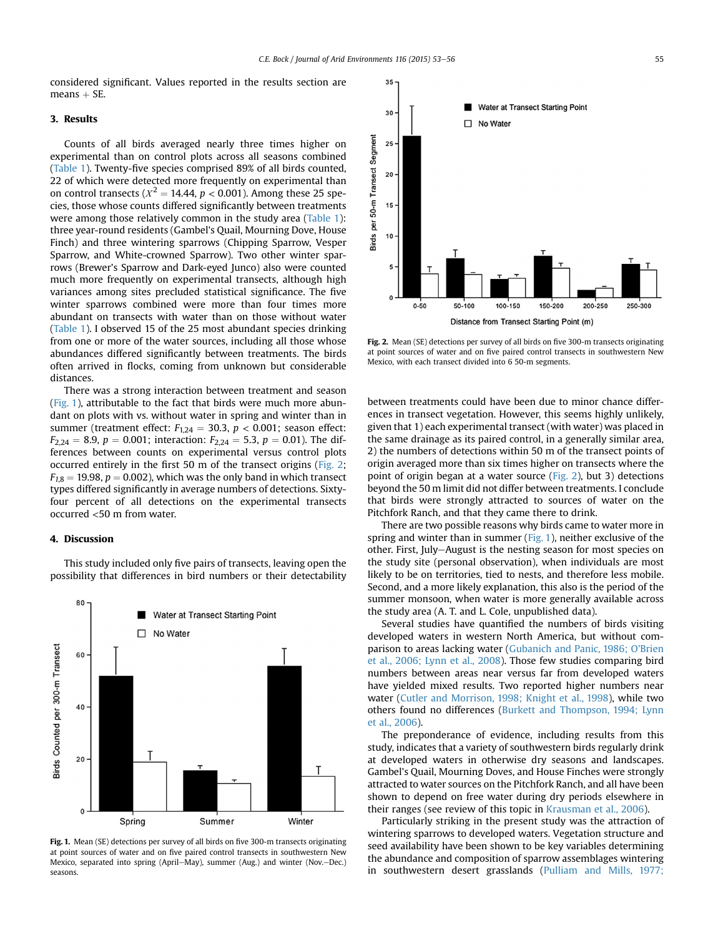considered significant. Values reported in the results section are  $means + SE.$ 

### 3. Results

Counts of all birds averaged nearly three times higher on experimental than on control plots across all seasons combined ([Table 1\)](#page-1-0). Twenty-five species comprised 89% of all birds counted, 22 of which were detected more frequently on experimental than on control transects ( $X^2 = 14.44$ ,  $p < 0.001$ ). Among these 25 species, those whose counts differed significantly between treatments were among those relatively common in the study area [\(Table 1\)](#page-1-0): three year-round residents (Gambel's Quail, Mourning Dove, House Finch) and three wintering sparrows (Chipping Sparrow, Vesper Sparrow, and White-crowned Sparrow). Two other winter sparrows (Brewer's Sparrow and Dark-eyed Junco) also were counted much more frequently on experimental transects, although high variances among sites precluded statistical significance. The five winter sparrows combined were more than four times more abundant on transects with water than on those without water ([Table 1\)](#page-1-0). I observed 15 of the 25 most abundant species drinking from one or more of the water sources, including all those whose abundances differed significantly between treatments. The birds often arrived in flocks, coming from unknown but considerable distances.

There was a strong interaction between treatment and season (Fig. 1), attributable to the fact that birds were much more abundant on plots with vs. without water in spring and winter than in summer (treatment effect:  $F_{1,24} = 30.3$ ,  $p < 0.001$ ; season effect:  $F_{2,24} = 8.9, p = 0.001$ ; interaction:  $F_{2,24} = 5.3, p = 0.01$ ). The differences between counts on experimental versus control plots occurred entirely in the first 50 m of the transect origins (Fig. 2;  $F_{1,8} = 19.98$ ,  $p = 0.002$ ), which was the only band in which transect types differed significantly in average numbers of detections. Sixtyfour percent of all detections on the experimental transects occurred <50 m from water.

#### 4. Discussion

This study included only five pairs of transects, leaving open the possibility that differences in bird numbers or their detectability



Fig. 1. Mean (SE) detections per survey of all birds on five 300-m transects originating at point sources of water and on five paired control transects in southwestern New Mexico, separated into spring (April–May), summer (Aug.) and winter (Nov.–Dec.) seasons.



Fig. 2. Mean (SE) detections per survey of all birds on five 300-m transects originating at point sources of water and on five paired control transects in southwestern New Mexico, with each transect divided into 6 50-m segments.

between treatments could have been due to minor chance differences in transect vegetation. However, this seems highly unlikely, given that 1) each experimental transect (with water) was placed in the same drainage as its paired control, in a generally similar area, 2) the numbers of detections within 50 m of the transect points of origin averaged more than six times higher on transects where the point of origin began at a water source (Fig. 2), but 3) detections beyond the 50 m limit did not differ between treatments. I conclude that birds were strongly attracted to sources of water on the Pitchfork Ranch, and that they came there to drink.

There are two possible reasons why birds came to water more in spring and winter than in summer (Fig. 1), neither exclusive of the other. First, July-August is the nesting season for most species on the study site (personal observation), when individuals are most likely to be on territories, tied to nests, and therefore less mobile. Second, and a more likely explanation, this also is the period of the summer monsoon, when water is more generally available across the study area (A. T. and L. Cole, unpublished data).

Several studies have quantified the numbers of birds visiting developed waters in western North America, but without comparison to areas lacking water ([Gubanich and Panic, 1986; O'Brien](#page-3-0) [et al., 2006; Lynn et al., 2008](#page-3-0)). Those few studies comparing bird numbers between areas near versus far from developed waters have yielded mixed results. Two reported higher numbers near water [\(Cutler and Morrison, 1998; Knight et al., 1998\)](#page-3-0), while two others found no differences ([Burkett and Thompson, 1994; Lynn](#page-3-0) [et al., 2006\)](#page-3-0).

The preponderance of evidence, including results from this study, indicates that a variety of southwestern birds regularly drink at developed waters in otherwise dry seasons and landscapes. Gambel's Quail, Mourning Doves, and House Finches were strongly attracted to water sources on the Pitchfork Ranch, and all have been shown to depend on free water during dry periods elsewhere in their ranges (see review of this topic in [Krausman et al., 2006\)](#page-3-0).

Particularly striking in the present study was the attraction of wintering sparrows to developed waters. Vegetation structure and seed availability have been shown to be key variables determining the abundance and composition of sparrow assemblages wintering in southwestern desert grasslands ([Pulliam and Mills, 1977;](#page-3-0)